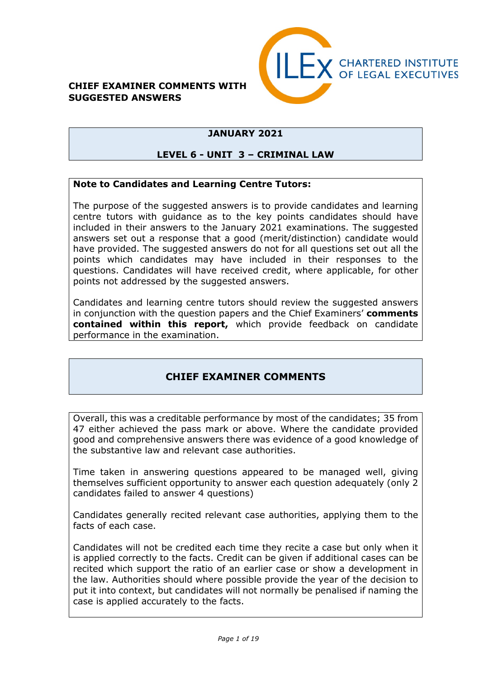### **CHIEF EXAMINER COMMENTS WITH SUGGESTED ANSWERS**



# **JANUARY 2021**

### **LEVEL 6 - UNIT 3 – CRIMINAL LAW**

### **Note to Candidates and Learning Centre Tutors:**

The purpose of the suggested answers is to provide candidates and learning centre tutors with guidance as to the key points candidates should have included in their answers to the January 2021 examinations. The suggested answers set out a response that a good (merit/distinction) candidate would have provided. The suggested answers do not for all questions set out all the points which candidates may have included in their responses to the questions. Candidates will have received credit, where applicable, for other points not addressed by the suggested answers.

Candidates and learning centre tutors should review the suggested answers in conjunction with the question papers and the Chief Examiners' **comments contained within this report,** which provide feedback on candidate performance in the examination.

# **CHIEF EXAMINER COMMENTS**

Overall, this was a creditable performance by most of the candidates; 35 from 47 either achieved the pass mark or above. Where the candidate provided good and comprehensive answers there was evidence of a good knowledge of the substantive law and relevant case authorities.

Time taken in answering questions appeared to be managed well, giving themselves sufficient opportunity to answer each question adequately (only 2 candidates failed to answer 4 questions)

Candidates generally recited relevant case authorities, applying them to the facts of each case.

Candidates will not be credited each time they recite a case but only when it is applied correctly to the facts. Credit can be given if additional cases can be recited which support the ratio of an earlier case or show a development in the law. Authorities should where possible provide the year of the decision to put it into context, but candidates will not normally be penalised if naming the case is applied accurately to the facts.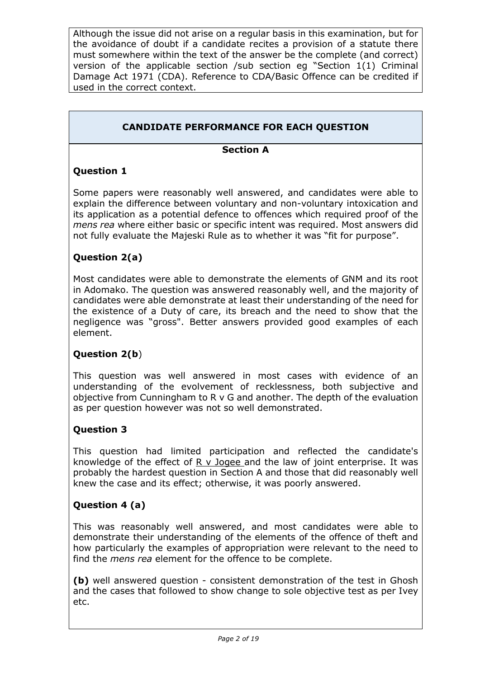Although the issue did not arise on a regular basis in this examination, but for the avoidance of doubt if a candidate recites a provision of a statute there must somewhere within the text of the answer be the complete (and correct) version of the applicable section /sub section eg "Section 1(1) Criminal Damage Act 1971 (CDA). Reference to CDA/Basic Offence can be credited if used in the correct context.

# **CANDIDATE PERFORMANCE FOR EACH QUESTION**

### **Section A**

# **Question 1**

Some papers were reasonably well answered, and candidates were able to explain the difference between voluntary and non-voluntary intoxication and its application as a potential defence to offences which required proof of the *mens rea* where either basic or specific intent was required. Most answers did not fully evaluate the Majeski Rule as to whether it was "fit for purpose".

### **Question 2(a)**

Most candidates were able to demonstrate the elements of GNM and its root in Adomako. The question was answered reasonably well, and the majority of candidates were able demonstrate at least their understanding of the need for the existence of a Duty of care, its breach and the need to show that the negligence was "gross". Better answers provided good examples of each element.

### **Question 2(b**)

This question was well answered in most cases with evidence of an understanding of the evolvement of recklessness, both subjective and objective from Cunningham to R v G and another. The depth of the evaluation as per question however was not so well demonstrated.

### **Question 3**

This question had limited participation and reflected the candidate's knowledge of the effect of  $R$  v Jogee and the law of joint enterprise. It was probably the hardest question in Section A and those that did reasonably well knew the case and its effect; otherwise, it was poorly answered.

# **Question 4 (a)**

This was reasonably well answered, and most candidates were able to demonstrate their understanding of the elements of the offence of theft and how particularly the examples of appropriation were relevant to the need to find the *mens rea* element for the offence to be complete.

**(b)** well answered question - consistent demonstration of the test in Ghosh and the cases that followed to show change to sole objective test as per Ivey etc.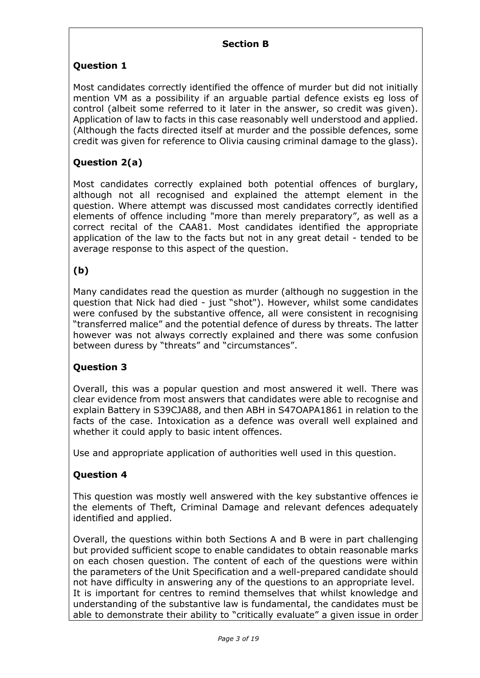### **Section B**

# **Question 1**

Most candidates correctly identified the offence of murder but did not initially mention VM as a possibility if an arguable partial defence exists eg loss of control (albeit some referred to it later in the answer, so credit was given). Application of law to facts in this case reasonably well understood and applied. (Although the facts directed itself at murder and the possible defences, some credit was given for reference to Olivia causing criminal damage to the glass).

# **Question 2(a)**

Most candidates correctly explained both potential offences of burglary, although not all recognised and explained the attempt element in the question. Where attempt was discussed most candidates correctly identified elements of offence including "more than merely preparatory", as well as a correct recital of the CAA81. Most candidates identified the appropriate application of the law to the facts but not in any great detail - tended to be average response to this aspect of the question.

# **(b)**

Many candidates read the question as murder (although no suggestion in the question that Nick had died - just "shot"). However, whilst some candidates were confused by the substantive offence, all were consistent in recognising "transferred malice" and the potential defence of duress by threats. The latter however was not always correctly explained and there was some confusion between duress by "threats" and "circumstances".

# **Question 3**

Overall, this was a popular question and most answered it well. There was clear evidence from most answers that candidates were able to recognise and explain Battery in S39CJA88, and then ABH in S47OAPA1861 in relation to the facts of the case. Intoxication as a defence was overall well explained and whether it could apply to basic intent offences.

Use and appropriate application of authorities well used in this question.

# **Question 4**

This question was mostly well answered with the key substantive offences ie the elements of Theft, Criminal Damage and relevant defences adequately identified and applied.

Overall, the questions within both Sections A and B were in part challenging but provided sufficient scope to enable candidates to obtain reasonable marks on each chosen question. The content of each of the questions were within the parameters of the Unit Specification and a well-prepared candidate should not have difficulty in answering any of the questions to an appropriate level. It is important for centres to remind themselves that whilst knowledge and understanding of the substantive law is fundamental, the candidates must be able to demonstrate their ability to "critically evaluate" a given issue in order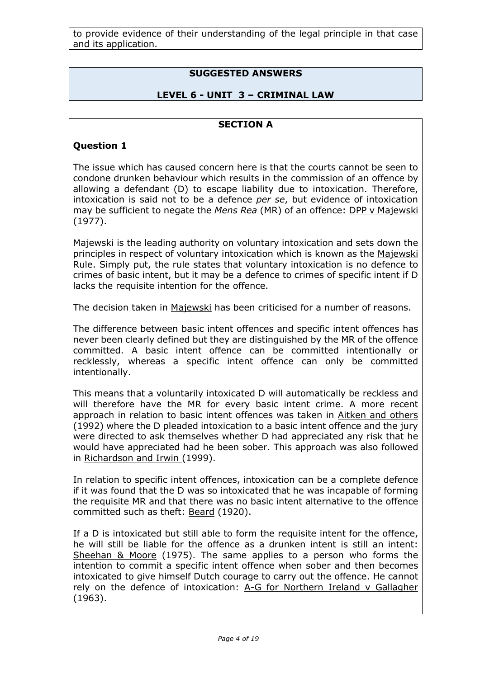to provide evidence of their understanding of the legal principle in that case and its application.

# **SUGGESTED ANSWERS**

### **LEVEL 6 - UNIT 3 – CRIMINAL LAW**

### **SECTION A**

#### **Question 1**

The issue which has caused concern here is that the courts cannot be seen to condone drunken behaviour which results in the commission of an offence by allowing a defendant (D) to escape liability due to intoxication. Therefore, intoxication is said not to be a defence *per se*, but evidence of intoxication may be sufficient to negate the *Mens Rea* (MR) of an offence: DPP v Majewski (1977).

Majewski is the leading authority on voluntary intoxication and sets down the principles in respect of voluntary intoxication which is known as the Majewski Rule. Simply put, the rule states that voluntary intoxication is no defence to crimes of basic intent, but it may be a defence to crimes of specific intent if D lacks the requisite intention for the offence.

The decision taken in Majewski has been criticised for a number of reasons.

The difference between basic intent offences and specific intent offences has never been clearly defined but they are distinguished by the MR of the offence committed. A basic intent offence can be committed intentionally or recklessly, whereas a specific intent offence can only be committed intentionally.

This means that a voluntarily intoxicated D will automatically be reckless and will therefore have the MR for every basic intent crime. A more recent approach in relation to basic intent offences was taken in Aitken and others (1992) where the D pleaded intoxication to a basic intent offence and the jury were directed to ask themselves whether D had appreciated any risk that he would have appreciated had he been sober. This approach was also followed in Richardson and Irwin (1999).

In relation to specific intent offences, intoxication can be a complete defence if it was found that the D was so intoxicated that he was incapable of forming the requisite MR and that there was no basic intent alternative to the offence committed such as theft: Beard (1920).

If a D is intoxicated but still able to form the requisite intent for the offence, he will still be liable for the offence as a drunken intent is still an intent: Sheehan & Moore (1975). The same applies to a person who forms the intention to commit a specific intent offence when sober and then becomes intoxicated to give himself Dutch courage to carry out the offence. He cannot rely on the defence of intoxication: A-G for Northern Ireland v Gallagher (1963).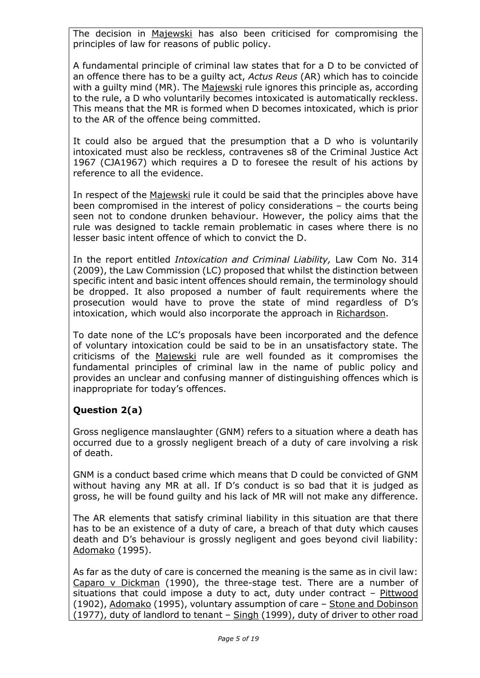The decision in Majewski has also been criticised for compromising the principles of law for reasons of public policy.

A fundamental principle of criminal law states that for a D to be convicted of an offence there has to be a guilty act, *Actus Reus* (AR) which has to coincide with a guilty mind (MR). The Majewski rule ignores this principle as, according to the rule, a D who voluntarily becomes intoxicated is automatically reckless. This means that the MR is formed when D becomes intoxicated, which is prior to the AR of the offence being committed.

It could also be argued that the presumption that a D who is voluntarily intoxicated must also be reckless, contravenes s8 of the Criminal Justice Act 1967 (CJA1967) which requires a D to foresee the result of his actions by reference to all the evidence.

In respect of the Majewski rule it could be said that the principles above have been compromised in the interest of policy considerations – the courts being seen not to condone drunken behaviour. However, the policy aims that the rule was designed to tackle remain problematic in cases where there is no lesser basic intent offence of which to convict the D.

In the report entitled *Intoxication and Criminal Liability,* Law Com No. 314 (2009), the Law Commission (LC) proposed that whilst the distinction between specific intent and basic intent offences should remain, the terminology should be dropped. It also proposed a number of fault requirements where the prosecution would have to prove the state of mind regardless of D's intoxication, which would also incorporate the approach in Richardson.

To date none of the LC's proposals have been incorporated and the defence of voluntary intoxication could be said to be in an unsatisfactory state. The criticisms of the Majewski rule are well founded as it compromises the fundamental principles of criminal law in the name of public policy and provides an unclear and confusing manner of distinguishing offences which is inappropriate for today's offences.

# **Question 2(a)**

Gross negligence manslaughter (GNM) refers to a situation where a death has occurred due to a grossly negligent breach of a duty of care involving a risk of death.

GNM is a conduct based crime which means that D could be convicted of GNM without having any MR at all. If D's conduct is so bad that it is judged as gross, he will be found guilty and his lack of MR will not make any difference.

The AR elements that satisfy criminal liability in this situation are that there has to be an existence of a duty of care, a breach of that duty which causes death and D's behaviour is grossly negligent and goes beyond civil liability: Adomako (1995).

As far as the duty of care is concerned the meaning is the same as in civil law: Caparo v Dickman (1990), the three-stage test. There are a number of situations that could impose a duty to act, duty under contract  $-$  Pittwood (1902), Adomako (1995), voluntary assumption of care – Stone and Dobinson (1977), duty of landlord to tenant  $-$  Singh (1999), duty of driver to other road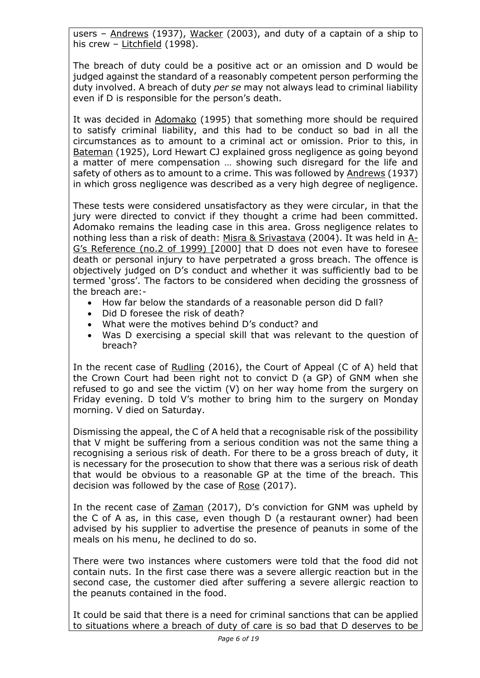users - Andrews (1937), Wacker (2003), and duty of a captain of a ship to his crew – Litchfield (1998).

The breach of duty could be a positive act or an omission and D would be judged against the standard of a reasonably competent person performing the duty involved. A breach of duty *per se* may not always lead to criminal liability even if D is responsible for the person's death.

It was decided in Adomako (1995) that something more should be required to satisfy criminal liability, and this had to be conduct so bad in all the circumstances as to amount to a criminal act or omission. Prior to this, in Bateman (1925), Lord Hewart CJ explained gross negligence as going beyond a matter of mere compensation … showing such disregard for the life and safety of others as to amount to a crime. This was followed by Andrews (1937) in which gross negligence was described as a very high degree of negligence.

These tests were considered unsatisfactory as they were circular, in that the jury were directed to convict if they thought a crime had been committed. Adomako remains the leading case in this area. Gross negligence relates to nothing less than a risk of death: Misra & Srivastava (2004). It was held in A-G's Reference (no.2 of 1999) [2000] that D does not even have to foresee death or personal injury to have perpetrated a gross breach. The offence is objectively judged on D's conduct and whether it was sufficiently bad to be termed 'gross'. The factors to be considered when deciding the grossness of the breach are:-

- How far below the standards of a reasonable person did D fall?
- Did D foresee the risk of death?
- What were the motives behind D's conduct? and
- Was D exercising a special skill that was relevant to the question of breach?

In the recent case of Rudling (2016), the Court of Appeal (C of A) held that the Crown Court had been right not to convict D (a GP) of GNM when she refused to go and see the victim (V) on her way home from the surgery on Friday evening. D told V's mother to bring him to the surgery on Monday morning. V died on Saturday.

Dismissing the appeal, the C of A held that a recognisable risk of the possibility that V might be suffering from a serious condition was not the same thing a recognising a serious risk of death. For there to be a gross breach of duty, it is necessary for the prosecution to show that there was a serious risk of death that would be obvious to a reasonable GP at the time of the breach. This decision was followed by the case of Rose (2017).

In the recent case of Zaman (2017), D's conviction for GNM was upheld by the C of A as, in this case, even though D (a restaurant owner) had been advised by his supplier to advertise the presence of peanuts in some of the meals on his menu, he declined to do so.

There were two instances where customers were told that the food did not contain nuts. In the first case there was a severe allergic reaction but in the second case, the customer died after suffering a severe allergic reaction to the peanuts contained in the food.

It could be said that there is a need for criminal sanctions that can be applied to situations where a breach of duty of care is so bad that D deserves to be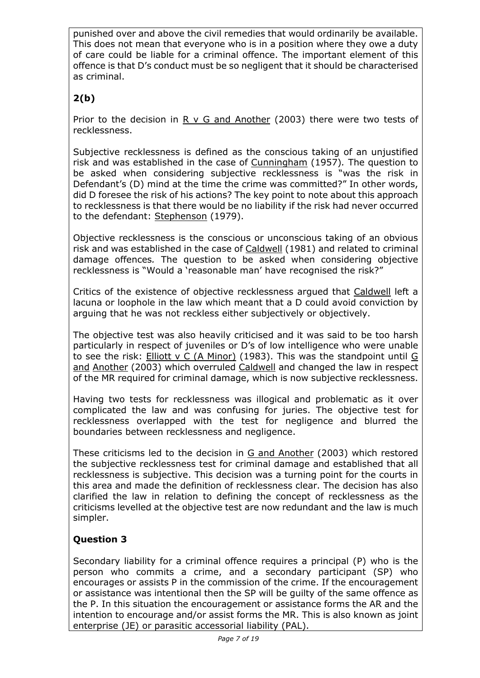punished over and above the civil remedies that would ordinarily be available. This does not mean that everyone who is in a position where they owe a duty of care could be liable for a criminal offence. The important element of this offence is that D's conduct must be so negligent that it should be characterised as criminal.

# **2(b)**

Prior to the decision in R v G and Another (2003) there were two tests of recklessness.

Subjective recklessness is defined as the conscious taking of an unjustified risk and was established in the case of Cunningham (1957)*.* The question to be asked when considering subjective recklessness is "was the risk in Defendant's (D) mind at the time the crime was committed?" In other words, did D foresee the risk of his actions? The key point to note about this approach to recklessness is that there would be no liability if the risk had never occurred to the defendant: Stephenson (1979).

Objective recklessness is the conscious or unconscious taking of an obvious risk and was established in the case of Caldwell (1981) and related to criminal damage offences*.* The question to be asked when considering objective recklessness is "Would a 'reasonable man' have recognised the risk?"

Critics of the existence of objective recklessness argued that Caldwell left a lacuna or loophole in the law which meant that a D could avoid conviction by arguing that he was not reckless either subjectively or objectively.

The objective test was also heavily criticised and it was said to be too harsh particularly in respect of juveniles or D's of low intelligence who were unable to see the risk: Elliott v C (A Minor) (1983). This was the standpoint until G and Another (2003) which overruled Caldwell and changed the law in respect of the MR required for criminal damage, which is now subjective recklessness.

Having two tests for recklessness was illogical and problematic as it over complicated the law and was confusing for juries. The objective test for recklessness overlapped with the test for negligence and blurred the boundaries between recklessness and negligence.

These criticisms led to the decision in G and Another (2003) which restored the subjective recklessness test for criminal damage and established that all recklessness is subjective. This decision was a turning point for the courts in this area and made the definition of recklessness clear. The decision has also clarified the law in relation to defining the concept of recklessness as the criticisms levelled at the objective test are now redundant and the law is much simpler.

# **Question 3**

Secondary liability for a criminal offence requires a principal (P) who is the person who commits a crime, and a secondary participant (SP) who encourages or assists P in the commission of the crime. If the encouragement or assistance was intentional then the SP will be guilty of the same offence as the P. In this situation the encouragement or assistance forms the AR and the intention to encourage and/or assist forms the MR. This is also known as joint enterprise (JE) or parasitic accessorial liability (PAL).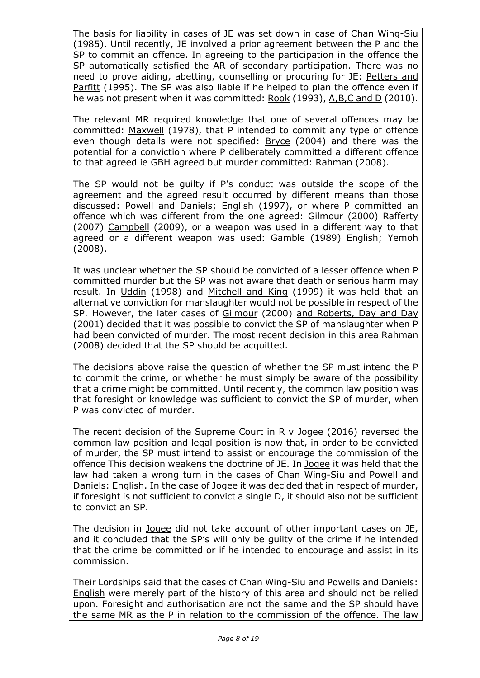The basis for liability in cases of JE was set down in case of Chan Wing-Siu (1985). Until recently, JE involved a prior agreement between the P and the SP to commit an offence. In agreeing to the participation in the offence the SP automatically satisfied the AR of secondary participation. There was no need to prove aiding, abetting, counselling or procuring for JE: Petters and Parfitt (1995). The SP was also liable if he helped to plan the offence even if he was not present when it was committed: Rook (1993), A,B,C and D (2010).

The relevant MR required knowledge that one of several offences may be committed: Maxwell (1978), that P intended to commit any type of offence even though details were not specified: Bryce (2004) and there was the potential for a conviction where P deliberately committed a different offence to that agreed ie GBH agreed but murder committed: Rahman (2008).

The SP would not be guilty if P's conduct was outside the scope of the agreement and the agreed result occurred by different means than those discussed: Powell and Daniels; English (1997), or where P committed an offence which was different from the one agreed: Gilmour (2000) Rafferty (2007) Campbell (2009), or a weapon was used in a different way to that agreed or a different weapon was used: Gamble (1989) English; Yemoh (2008).

It was unclear whether the SP should be convicted of a lesser offence when P committed murder but the SP was not aware that death or serious harm may result. In Uddin (1998) and Mitchell and King (1999) it was held that an alternative conviction for manslaughter would not be possible in respect of the SP. However, the later cases of Gilmour (2000) and Roberts, Day and Day (2001) decided that it was possible to convict the SP of manslaughter when P had been convicted of murder. The most recent decision in this area Rahman (2008) decided that the SP should be acquitted.

The decisions above raise the question of whether the SP must intend the P to commit the crime, or whether he must simply be aware of the possibility that a crime might be committed. Until recently, the common law position was that foresight or knowledge was sufficient to convict the SP of murder, when P was convicted of murder.

The recent decision of the Supreme Court in R v Jogee (2016) reversed the common law position and legal position is now that, in order to be convicted of murder, the SP must intend to assist or encourage the commission of the offence This decision weakens the doctrine of JE. In Jogee it was held that the law had taken a wrong turn in the cases of Chan Wing-Siu and Powell and Daniels: English. In the case of Jogee it was decided that in respect of murder, if foresight is not sufficient to convict a single D, it should also not be sufficient to convict an SP.

The decision in Jogee did not take account of other important cases on JE, and it concluded that the SP's will only be guilty of the crime if he intended that the crime be committed or if he intended to encourage and assist in its commission.

Their Lordships said that the cases of Chan Wing-Siu and Powells and Daniels: English were merely part of the history of this area and should not be relied upon. Foresight and authorisation are not the same and the SP should have the same MR as the P in relation to the commission of the offence. The law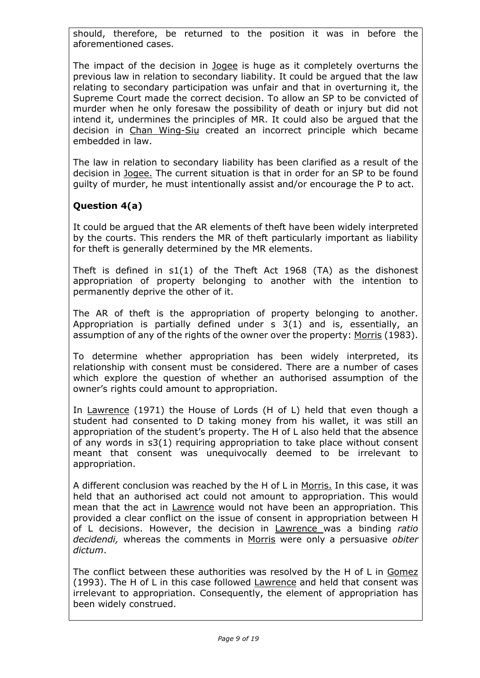should, therefore, be returned to the position it was in before the aforementioned cases.

The impact of the decision in Jogee is huge as it completely overturns the previous law in relation to secondary liability. It could be argued that the law relating to secondary participation was unfair and that in overturning it, the Supreme Court made the correct decision. To allow an SP to be convicted of murder when he only foresaw the possibility of death or injury but did not intend it, undermines the principles of MR. It could also be argued that the decision in Chan Wing-Siu created an incorrect principle which became embedded in law.

The law in relation to secondary liability has been clarified as a result of the decision in Jogee. The current situation is that in order for an SP to be found guilty of murder, he must intentionally assist and/or encourage the P to act.

# **Question 4(a)**

It could be argued that the AR elements of theft have been widely interpreted by the courts. This renders the MR of theft particularly important as liability for theft is generally determined by the MR elements.

Theft is defined in s1(1) of the Theft Act 1968 (TA) as the dishonest appropriation of property belonging to another with the intention to permanently deprive the other of it.

The AR of theft is the appropriation of property belonging to another. Appropriation is partially defined under s 3(1) and is, essentially, an assumption of any of the rights of the owner over the property: Morris (1983).

To determine whether appropriation has been widely interpreted, its relationship with consent must be considered. There are a number of cases which explore the question of whether an authorised assumption of the owner's rights could amount to appropriation.

In Lawrence (1971) the House of Lords (H of L) held that even though a student had consented to D taking money from his wallet, it was still an appropriation of the student's property. The H of L also held that the absence of any words in s3(1) requiring appropriation to take place without consent meant that consent was unequivocally deemed to be irrelevant to appropriation.

A different conclusion was reached by the H of L in Morris. In this case, it was held that an authorised act could not amount to appropriation. This would mean that the act in Lawrence would not have been an appropriation. This provided a clear conflict on the issue of consent in appropriation between H of L decisions. However, the decision in Lawrence was a binding *ratio decidendi,* whereas the comments in Morris were only a persuasive *obiter dictum*.

The conflict between these authorities was resolved by the H of L in Gomez (1993). The H of L in this case followed Lawrence and held that consent was irrelevant to appropriation. Consequently, the element of appropriation has been widely construed.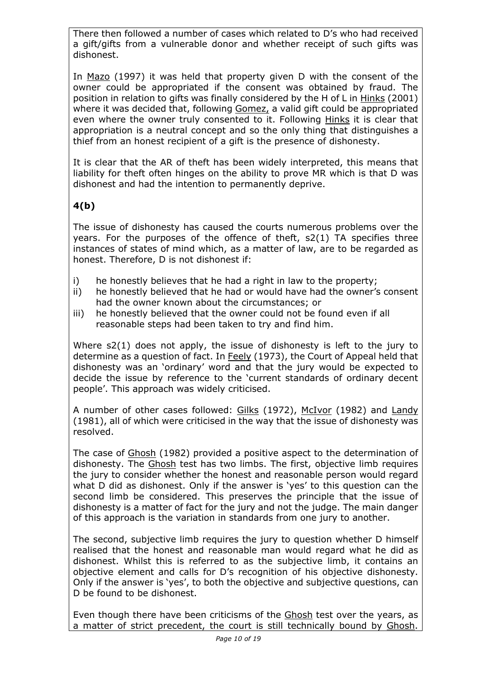There then followed a number of cases which related to D's who had received a gift/gifts from a vulnerable donor and whether receipt of such gifts was dishonest.

In Mazo (1997) it was held that property given D with the consent of the owner could be appropriated if the consent was obtained by fraud. The position in relation to gifts was finally considered by the H of L in Hinks (2001) where it was decided that, following Gomez, a valid gift could be appropriated even where the owner truly consented to it. Following Hinks it is clear that appropriation is a neutral concept and so the only thing that distinguishes a thief from an honest recipient of a gift is the presence of dishonesty.

It is clear that the AR of theft has been widely interpreted, this means that liability for theft often hinges on the ability to prove MR which is that D was dishonest and had the intention to permanently deprive.

# **4(b)**

The issue of dishonesty has caused the courts numerous problems over the years. For the purposes of the offence of theft, s2(1) TA specifies three instances of states of mind which, as a matter of law, are to be regarded as honest. Therefore, D is not dishonest if:

- i) he honestly believes that he had a right in law to the property;
- ii) he honestly believed that he had or would have had the owner's consent had the owner known about the circumstances; or
- iii) he honestly believed that the owner could not be found even if all reasonable steps had been taken to try and find him.

Where s2(1) does not apply, the issue of dishonesty is left to the jury to determine as a question of fact. In Feely (1973), the Court of Appeal held that dishonesty was an 'ordinary' word and that the jury would be expected to decide the issue by reference to the 'current standards of ordinary decent people'. This approach was widely criticised.

A number of other cases followed: Gilks (1972), McIvor (1982) and Landy (1981), all of which were criticised in the way that the issue of dishonesty was resolved.

The case of Ghosh (1982) provided a positive aspect to the determination of dishonesty. The Ghosh test has two limbs. The first, objective limb requires the jury to consider whether the honest and reasonable person would regard what D did as dishonest. Only if the answer is 'yes' to this question can the second limb be considered. This preserves the principle that the issue of dishonesty is a matter of fact for the jury and not the judge. The main danger of this approach is the variation in standards from one jury to another.

The second, subjective limb requires the jury to question whether D himself realised that the honest and reasonable man would regard what he did as dishonest. Whilst this is referred to as the subjective limb, it contains an objective element and calls for D's recognition of his objective dishonesty. Only if the answer is 'yes', to both the objective and subjective questions, can D be found to be dishonest.

Even though there have been criticisms of the Ghosh test over the years, as a matter of strict precedent, the court is still technically bound by Ghosh.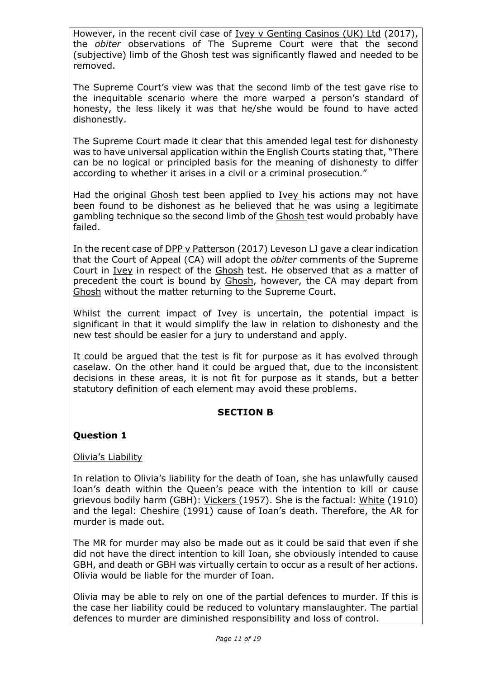However, in the recent civil case of Ivey v Genting Casinos (UK) Ltd (2017), the *obiter* observations of The Supreme Court were that the second (subjective) limb of the Ghosh test was significantly flawed and needed to be removed.

The Supreme Court's view was that the second limb of the test gave rise to the inequitable scenario where the more warped a person's standard of honesty, the less likely it was that he/she would be found to have acted dishonestly.

The Supreme Court made it clear that this amended legal test for dishonesty was to have universal application within the English Courts stating that, "There can be no logical or principled basis for the meaning of dishonesty to differ according to whether it arises in a civil or a criminal prosecution."

Had the original Ghosh test been applied to Ivey his actions may not have been found to be dishonest as he believed that he was using a legitimate gambling technique so the second limb of the Ghosh test would probably have failed.

In the recent case of DPP v Patterson (2017) Leveson LJ gave a clear indication that the Court of Appeal (CA) will adopt the *obiter* comments of the Supreme Court in Ivey in respect of the Ghosh test. He observed that as a matter of precedent the court is bound by Ghosh, however, the CA may depart from Ghosh without the matter returning to the Supreme Court.

Whilst the current impact of Ivey is uncertain, the potential impact is significant in that it would simplify the law in relation to dishonesty and the new test should be easier for a jury to understand and apply.

It could be argued that the test is fit for purpose as it has evolved through caselaw. On the other hand it could be argued that, due to the inconsistent decisions in these areas, it is not fit for purpose as it stands, but a better statutory definition of each element may avoid these problems.

### **SECTION B**

# **Question 1**

### Olivia's Liability

In relation to Olivia's liability for the death of Ioan, she has unlawfully caused Ioan's death within the Queen's peace with the intention to kill or cause grievous bodily harm (GBH): Vickers (1957). She is the factual: White (1910) and the legal: Cheshire (1991) cause of Ioan's death. Therefore, the AR for murder is made out.

The MR for murder may also be made out as it could be said that even if she did not have the direct intention to kill Ioan, she obviously intended to cause GBH, and death or GBH was virtually certain to occur as a result of her actions. Olivia would be liable for the murder of Ioan.

Olivia may be able to rely on one of the partial defences to murder. If this is the case her liability could be reduced to voluntary manslaughter. The partial defences to murder are diminished responsibility and loss of control.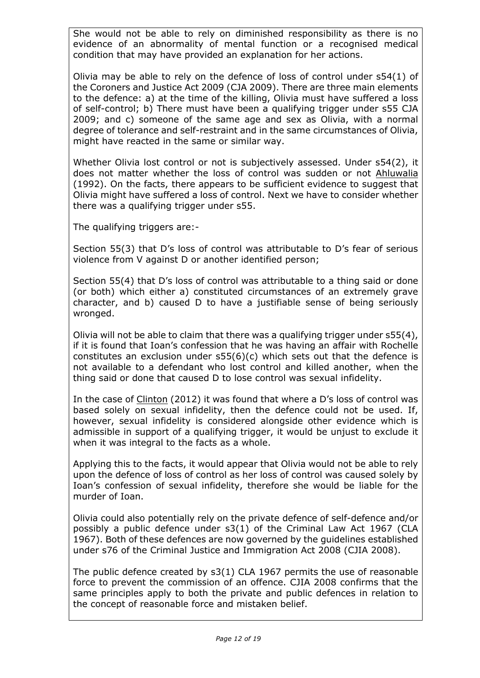She would not be able to rely on diminished responsibility as there is no evidence of an abnormality of mental function or a recognised medical condition that may have provided an explanation for her actions.

Olivia may be able to rely on the defence of loss of control under s54(1) of the Coroners and Justice Act 2009 (CJA 2009). There are three main elements to the defence: a) at the time of the killing, Olivia must have suffered a loss of self-control; b) There must have been a qualifying trigger under s55 CJA 2009; and c) someone of the same age and sex as Olivia, with a normal degree of tolerance and self-restraint and in the same circumstances of Olivia, might have reacted in the same or similar way.

Whether Olivia lost control or not is subjectively assessed. Under s54(2), it does not matter whether the loss of control was sudden or not Ahluwalia (1992). On the facts, there appears to be sufficient evidence to suggest that Olivia might have suffered a loss of control. Next we have to consider whether there was a qualifying trigger under s55.

The qualifying triggers are:-

Section 55(3) that D's loss of control was attributable to D's fear of serious violence from V against D or another identified person;

Section 55(4) that D's loss of control was attributable to a thing said or done (or both) which either a) constituted circumstances of an extremely grave character, and b) caused D to have a justifiable sense of being seriously wronged.

Olivia will not be able to claim that there was a qualifying trigger under s55(4), if it is found that Ioan's confession that he was having an affair with Rochelle constitutes an exclusion under s55(6)(c) which sets out that the defence is not available to a defendant who lost control and killed another, when the thing said or done that caused D to lose control was sexual infidelity.

In the case of Clinton (2012) it was found that where a D's loss of control was based solely on sexual infidelity, then the defence could not be used. If, however, sexual infidelity is considered alongside other evidence which is admissible in support of a qualifying trigger, it would be unjust to exclude it when it was integral to the facts as a whole.

Applying this to the facts, it would appear that Olivia would not be able to rely upon the defence of loss of control as her loss of control was caused solely by Ioan's confession of sexual infidelity, therefore she would be liable for the murder of Ioan.

Olivia could also potentially rely on the private defence of self-defence and/or possibly a public defence under s3(1) of the Criminal Law Act 1967 (CLA 1967). Both of these defences are now governed by the guidelines established under s76 of the Criminal Justice and Immigration Act 2008 (CJIA 2008).

The public defence created by s3(1) CLA 1967 permits the use of reasonable force to prevent the commission of an offence. CJIA 2008 confirms that the same principles apply to both the private and public defences in relation to the concept of reasonable force and mistaken belief.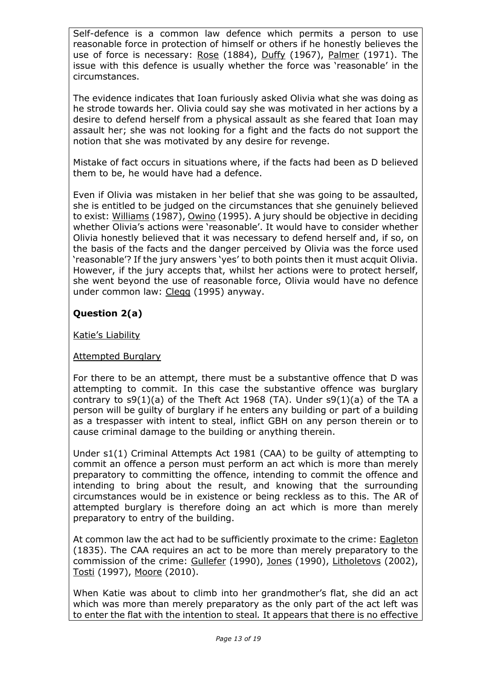Self-defence is a common law defence which permits a person to use reasonable force in protection of himself or others if he honestly believes the use of force is necessary: Rose (1884), Duffy (1967), Palmer (1971). The issue with this defence is usually whether the force was 'reasonable' in the circumstances.

The evidence indicates that Ioan furiously asked Olivia what she was doing as he strode towards her. Olivia could say she was motivated in her actions by a desire to defend herself from a physical assault as she feared that Ioan may assault her; she was not looking for a fight and the facts do not support the notion that she was motivated by any desire for revenge.

Mistake of fact occurs in situations where, if the facts had been as D believed them to be, he would have had a defence.

Even if Olivia was mistaken in her belief that she was going to be assaulted, she is entitled to be judged on the circumstances that she genuinely believed to exist: Williams (1987), Owino (1995). A jury should be objective in deciding whether Olivia's actions were 'reasonable'. It would have to consider whether Olivia honestly believed that it was necessary to defend herself and, if so, on the basis of the facts and the danger perceived by Olivia was the force used 'reasonable'? If the jury answers 'yes' to both points then it must acquit Olivia. However, if the jury accepts that, whilst her actions were to protect herself, she went beyond the use of reasonable force, Olivia would have no defence under common law: Clegg (1995) anyway.

# **Question 2(a)**

Katie's Liability

# Attempted Burglary

For there to be an attempt, there must be a substantive offence that D was attempting to commit. In this case the substantive offence was burglary contrary to  $s9(1)(a)$  of the Theft Act 1968 (TA). Under  $s9(1)(a)$  of the TA a person will be guilty of burglary if he enters any building or part of a building as a trespasser with intent to steal, inflict GBH on any person therein or to cause criminal damage to the building or anything therein.

Under s1(1) Criminal Attempts Act 1981 (CAA) to be guilty of attempting to commit an offence a person must perform an act which is more than merely preparatory to committing the offence, intending to commit the offence and intending to bring about the result, and knowing that the surrounding circumstances would be in existence or being reckless as to this. The AR of attempted burglary is therefore doing an act which is more than merely preparatory to entry of the building.

At common law the act had to be sufficiently proximate to the crime: Eagleton (1835). The CAA requires an act to be more than merely preparatory to the commission of the crime: Gullefer (1990), Jones (1990), Litholetovs (2002), Tosti (1997), Moore (2010).

When Katie was about to climb into her grandmother's flat, she did an act which was more than merely preparatory as the only part of the act left was to enter the flat with the intention to steal*.* It appears that there is no effective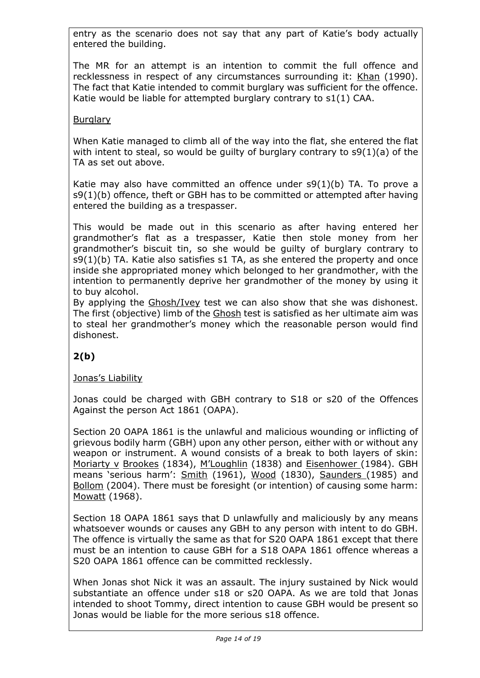entry as the scenario does not say that any part of Katie's body actually entered the building.

The MR for an attempt is an intention to commit the full offence and recklessness in respect of any circumstances surrounding it: Khan (1990). The fact that Katie intended to commit burglary was sufficient for the offence. Katie would be liable for attempted burglary contrary to s1(1) CAA.

### **Burglary**

When Katie managed to climb all of the way into the flat, she entered the flat with intent to steal, so would be guilty of burglary contrary to s9(1)(a) of the TA as set out above.

Katie may also have committed an offence under s9(1)(b) TA. To prove a s9(1)(b) offence, theft or GBH has to be committed or attempted after having entered the building as a trespasser.

This would be made out in this scenario as after having entered her grandmother's flat as a trespasser, Katie then stole money from her grandmother's biscuit tin, so she would be guilty of burglary contrary to s9(1)(b) TA. Katie also satisfies s1 TA, as she entered the property and once inside she appropriated money which belonged to her grandmother, with the intention to permanently deprive her grandmother of the money by using it to buy alcohol.

By applying the Ghosh/Ivey test we can also show that she was dishonest. The first (objective) limb of the Ghosh test is satisfied as her ultimate aim was to steal her grandmother's money which the reasonable person would find dishonest.

# **2(b)**

# Jonas's Liability

Jonas could be charged with GBH contrary to S18 or s20 of the Offences Against the person Act 1861 (OAPA).

Section 20 OAPA 1861 is the unlawful and malicious wounding or inflicting of grievous bodily harm (GBH) upon any other person, either with or without any weapon or instrument. A wound consists of a break to both layers of skin: Moriarty v Brookes (1834), M'Loughlin (1838) and Eisenhower (1984). GBH means 'serious harm': Smith (1961), Wood (1830), Saunders (1985) and Bollom (2004). There must be foresight (or intention) of causing some harm: Mowatt (1968).

Section 18 OAPA 1861 says that D unlawfully and maliciously by any means whatsoever wounds or causes any GBH to any person with intent to do GBH. The offence is virtually the same as that for S20 OAPA 1861 except that there must be an intention to cause GBH for a S18 OAPA 1861 offence whereas a S20 OAPA 1861 offence can be committed recklessly.

When Jonas shot Nick it was an assault. The injury sustained by Nick would substantiate an offence under s18 or s20 OAPA. As we are told that Jonas intended to shoot Tommy, direct intention to cause GBH would be present so Jonas would be liable for the more serious s18 offence.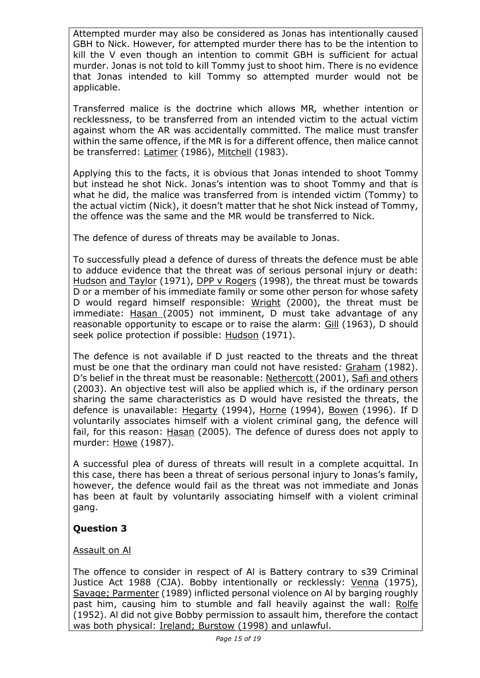Attempted murder may also be considered as Jonas has intentionally caused GBH to Nick. However, for attempted murder there has to be the intention to kill the V even though an intention to commit GBH is sufficient for actual murder. Jonas is not told to kill Tommy just to shoot him. There is no evidence that Jonas intended to kill Tommy so attempted murder would not be applicable.

Transferred malice is the doctrine which allows MR*,* whether intention or recklessness, to be transferred from an intended victim to the actual victim against whom the AR was accidentally committed. The malice must transfer within the same offence, if the MR is for a different offence, then malice cannot be transferred: Latimer (1986), Mitchell (1983).

Applying this to the facts, it is obvious that Jonas intended to shoot Tommy but instead he shot Nick. Jonas's intention was to shoot Tommy and that is what he did, the malice was transferred from is intended victim (Tommy) to the actual victim (Nick), it doesn't matter that he shot Nick instead of Tommy, the offence was the same and the MR would be transferred to Nick.

The defence of duress of threats may be available to Jonas.

To successfully plead a defence of duress of threats the defence must be able to adduce evidence that the threat was of serious personal injury or death: Hudson and Taylor (1971), DPP v Rogers (1998), the threat must be towards D or a member of his immediate family or some other person for whose safety D would regard himself responsible: Wright (2000), the threat must be immediate: Hasan (2005) not imminent, D must take advantage of any reasonable opportunity to escape or to raise the alarm: Gill (1963), D should seek police protection if possible: Hudson (1971).

The defence is not available if D just reacted to the threats and the threat must be one that the ordinary man could not have resisted*:* Graham (1982). D's belief in the threat must be reasonable: Nethercott (2001), Safi and others (2003). An objective test will also be applied which is, if the ordinary person sharing the same characteristics as D would have resisted the threats, the defence is unavailable: Hegarty (1994), Horne (1994), Bowen (1996). If D voluntarily associates himself with a violent criminal gang, the defence will fail, for this reason: Hasan (2005)*.* The defence of duress does not apply to murder: Howe (1987).

A successful plea of duress of threats will result in a complete acquittal. In this case, there has been a threat of serious personal injury to Jonas's family, however, the defence would fail as the threat was not immediate and Jonas has been at fault by voluntarily associating himself with a violent criminal gang.

# **Question 3**

# Assault on Al

The offence to consider in respect of Al is Battery contrary to s39 Criminal Justice Act 1988 (CJA). Bobby intentionally or recklessly: Venna (1975), Savage; Parmenter (1989) inflicted personal violence on Al by barging roughly past him, causing him to stumble and fall heavily against the wall: Rolfe (1952). Al did not give Bobby permission to assault him, therefore the contact was both physical: Ireland; Burstow (1998) and unlawful.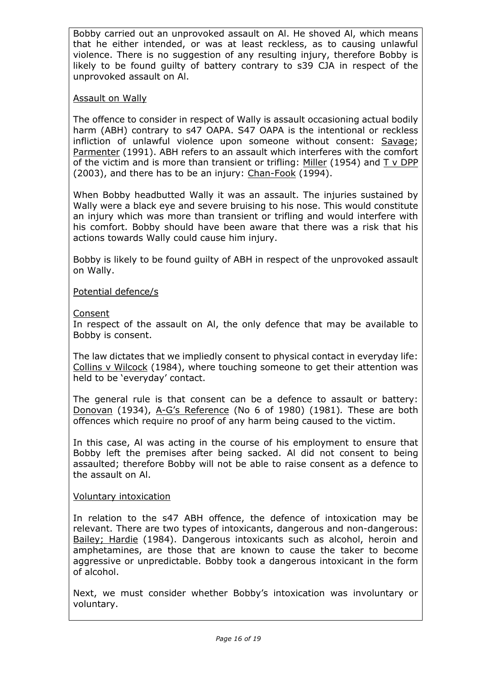Bobby carried out an unprovoked assault on Al. He shoved Al, which means that he either intended, or was at least reckless, as to causing unlawful violence. There is no suggestion of any resulting injury, therefore Bobby is likely to be found guilty of battery contrary to s39 CJA in respect of the unprovoked assault on Al.

### Assault on Wally

The offence to consider in respect of Wally is assault occasioning actual bodily harm (ABH) contrary to s47 OAPA. S47 OAPA is the intentional or reckless infliction of unlawful violence upon someone without consent: Savage; Parmenter (1991). ABH refers to an assault which interferes with the comfort of the victim and is more than transient or trifling:  $Miller$  (1954) and  $T v DPP$ (2003), and there has to be an injury: Chan-Fook (1994).

When Bobby headbutted Wally it was an assault. The injuries sustained by Wally were a black eye and severe bruising to his nose. This would constitute an injury which was more than transient or trifling and would interfere with his comfort. Bobby should have been aware that there was a risk that his actions towards Wally could cause him injury.

Bobby is likely to be found guilty of ABH in respect of the unprovoked assault on Wally.

### Potential defence/s

#### Consent

In respect of the assault on Al, the only defence that may be available to Bobby is consent.

The law dictates that we impliedly consent to physical contact in everyday life: Collins v Wilcock (1984), where touching someone to get their attention was held to be 'everyday' contact.

The general rule is that consent can be a defence to assault or battery: Donovan (1934), A-G's Reference (No 6 of 1980) (1981)*.* These are both offences which require no proof of any harm being caused to the victim.

In this case, Al was acting in the course of his employment to ensure that Bobby left the premises after being sacked. Al did not consent to being assaulted; therefore Bobby will not be able to raise consent as a defence to the assault on Al.

#### Voluntary intoxication

In relation to the s47 ABH offence, the defence of intoxication may be relevant. There are two types of intoxicants, dangerous and non-dangerous: Bailey; Hardie (1984). Dangerous intoxicants such as alcohol, heroin and amphetamines, are those that are known to cause the taker to become aggressive or unpredictable. Bobby took a dangerous intoxicant in the form of alcohol.

Next, we must consider whether Bobby's intoxication was involuntary or voluntary.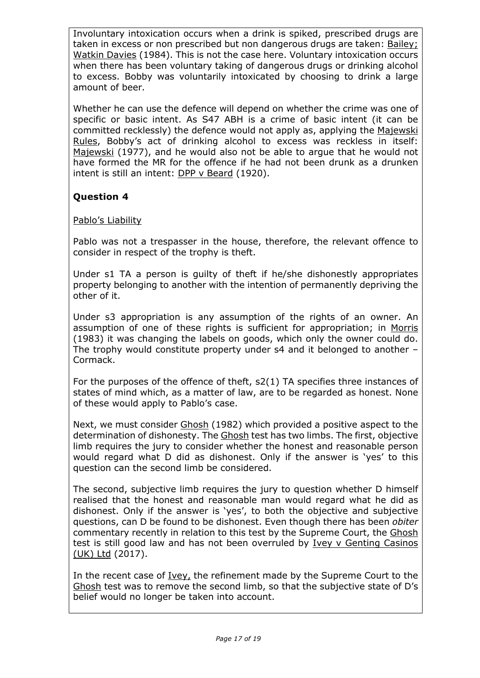Involuntary intoxication occurs when a drink is spiked, prescribed drugs are taken in excess or non prescribed but non dangerous drugs are taken: Bailey; Watkin Davies (1984). This is not the case here. Voluntary intoxication occurs when there has been voluntary taking of dangerous drugs or drinking alcohol to excess. Bobby was voluntarily intoxicated by choosing to drink a large amount of beer.

Whether he can use the defence will depend on whether the crime was one of specific or basic intent. As S47 ABH is a crime of basic intent (it can be committed recklessly) the defence would not apply as, applying the Majewski Rules, Bobby's act of drinking alcohol to excess was reckless in itself: Majewski (1977), and he would also not be able to argue that he would not have formed the MR for the offence if he had not been drunk as a drunken intent is still an intent: DPP v Beard (1920).

# **Question 4**

### Pablo's Liability

Pablo was not a trespasser in the house, therefore, the relevant offence to consider in respect of the trophy is theft.

Under s1 TA a person is guilty of theft if he/she dishonestly appropriates property belonging to another with the intention of permanently depriving the other of it.

Under s3 appropriation is any assumption of the rights of an owner. An assumption of one of these rights is sufficient for appropriation; in Morris (1983) it was changing the labels on goods, which only the owner could do. The trophy would constitute property under s4 and it belonged to another – Cormack.

For the purposes of the offence of theft, s2(1) TA specifies three instances of states of mind which, as a matter of law, are to be regarded as honest. None of these would apply to Pablo's case.

Next, we must consider Ghosh (1982) which provided a positive aspect to the determination of dishonesty. The Ghosh test has two limbs. The first, objective limb requires the jury to consider whether the honest and reasonable person would regard what D did as dishonest. Only if the answer is 'yes' to this question can the second limb be considered.

The second, subjective limb requires the jury to question whether D himself realised that the honest and reasonable man would regard what he did as dishonest. Only if the answer is 'yes', to both the objective and subjective questions, can D be found to be dishonest. Even though there has been *obiter*  commentary recently in relation to this test by the Supreme Court, the Ghosh test is still good law and has not been overruled by Ivey v Genting Casinos (UK) Ltd (2017).

In the recent case of Ivey, the refinement made by the Supreme Court to the Ghosh test was to remove the second limb, so that the subjective state of D's belief would no longer be taken into account.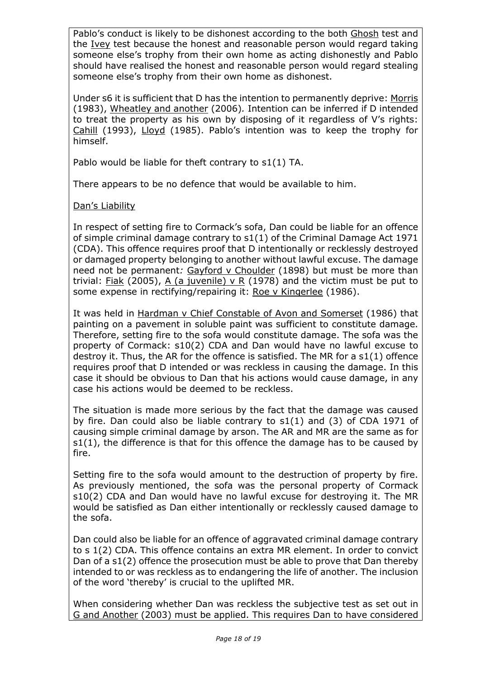Pablo's conduct is likely to be dishonest according to the both Ghosh test and the Ivey test because the honest and reasonable person would regard taking someone else's trophy from their own home as acting dishonestly and Pablo should have realised the honest and reasonable person would regard stealing someone else's trophy from their own home as dishonest.

Under s6 it is sufficient that D has the intention to permanently deprive: Morris (1983), Wheatley and another (2006)*.* Intention can be inferred if D intended to treat the property as his own by disposing of it regardless of V's rights: Cahill (1993), Lloyd (1985). Pablo's intention was to keep the trophy for himself.

Pablo would be liable for theft contrary to s1(1) TA.

There appears to be no defence that would be available to him.

### Dan's Liability

In respect of setting fire to Cormack's sofa, Dan could be liable for an offence of simple criminal damage contrary to s1(1) of the Criminal Damage Act 1971 (CDA). This offence requires proof that D intentionally or recklessly destroyed or damaged property belonging to another without lawful excuse. The damage need not be permanent*:* Gayford v Choulder (1898) but must be more than trivial: Fiak (2005), A (a juvenile) v R (1978) and the victim must be put to some expense in rectifying/repairing it: Roe v Kingerlee (1986).

It was held in Hardman v Chief Constable of Avon and Somerset (1986) that painting on a pavement in soluble paint was sufficient to constitute damage. Therefore, setting fire to the sofa would constitute damage. The sofa was the property of Cormack: s10(2) CDA and Dan would have no lawful excuse to destroy it. Thus, the AR for the offence is satisfied. The MR for a s1(1) offence requires proof that D intended or was reckless in causing the damage. In this case it should be obvious to Dan that his actions would cause damage, in any case his actions would be deemed to be reckless.

The situation is made more serious by the fact that the damage was caused by fire. Dan could also be liable contrary to s1(1) and (3) of CDA 1971 of causing simple criminal damage by arson. The AR and MR are the same as for s1(1), the difference is that for this offence the damage has to be caused by fire.

Setting fire to the sofa would amount to the destruction of property by fire. As previously mentioned, the sofa was the personal property of Cormack s10(2) CDA and Dan would have no lawful excuse for destroying it. The MR would be satisfied as Dan either intentionally or recklessly caused damage to the sofa.

Dan could also be liable for an offence of aggravated criminal damage contrary to s 1(2) CDA. This offence contains an extra MR element. In order to convict Dan of a s1(2) offence the prosecution must be able to prove that Dan thereby intended to or was reckless as to endangering the life of another. The inclusion of the word 'thereby' is crucial to the uplifted MR.

When considering whether Dan was reckless the subjective test as set out in G and Another (2003) must be applied. This requires Dan to have considered